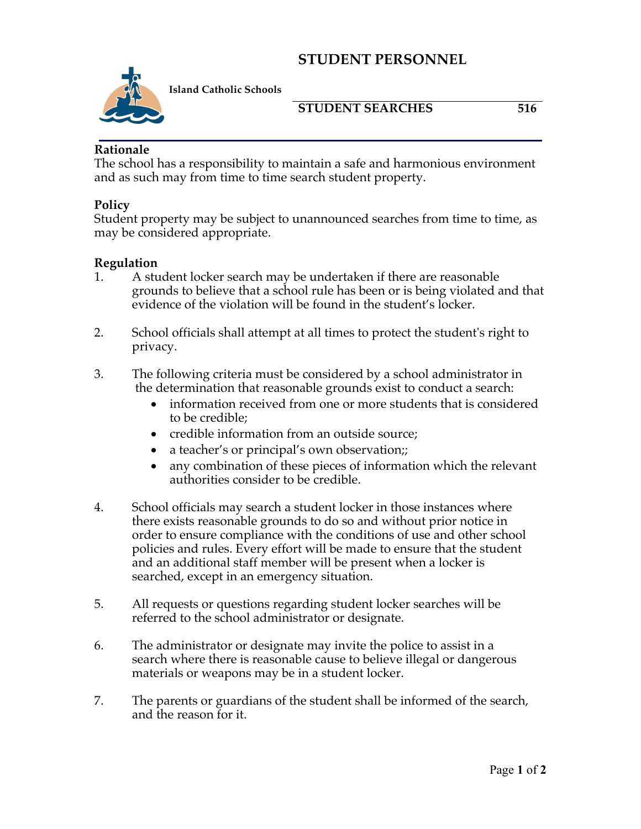# **STUDENT PERSONNEL**



**Island Catholic Schools** 

### **STUDENT SEARCHES** 516

### **Rationale**

The school has a responsibility to maintain a safe and harmonious environment and as such may from time to time search student property.

### **Policy**

Student property may be subject to unannounced searches from time to time, as may be considered appropriate.

#### **Regulation**

- 1. A student locker search may be undertaken if there are reasonable grounds to believe that a school rule has been or is being violated and that evidence of the violation will be found in the student's locker.
- 2. School officials shall attempt at all times to protect the student's right to privacy.
- 3. The following criteria must be considered by a school administrator in the determination that reasonable grounds exist to conduct a search:
	- information received from one or more students that is considered to be credible;
	- credible information from an outside source;
	- a teacher's or principal's own observation;;
	- any combination of these pieces of information which the relevant authorities consider to be credible.
- 4. School officials may search a student locker in those instances where there exists reasonable grounds to do so and without prior notice in order to ensure compliance with the conditions of use and other school policies and rules. Every effort will be made to ensure that the student and an additional staff member will be present when a locker is searched, except in an emergency situation.
- 5. All requests or questions regarding student locker searches will be referred to the school administrator or designate.
- 6. The administrator or designate may invite the police to assist in a search where there is reasonable cause to believe illegal or dangerous materials or weapons may be in a student locker.
- 7. The parents or guardians of the student shall be informed of the search, and the reason for it.